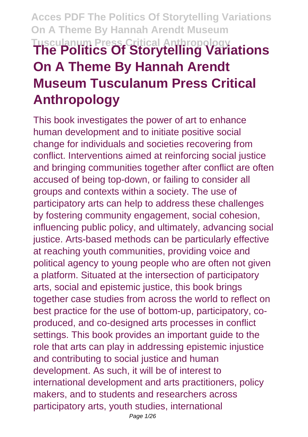# **Acces PDF The Politics Of Storytelling Variations On A Theme By Hannah Arendt Museum Tusculanum Press Critical Anthropology The Politics Of Storytelling Variations On A Theme By Hannah Arendt Museum Tusculanum Press Critical Anthropology**

This book investigates the power of art to enhance human development and to initiate positive social change for individuals and societies recovering from conflict. Interventions aimed at reinforcing social justice and bringing communities together after conflict are often accused of being top-down, or failing to consider all groups and contexts within a society. The use of participatory arts can help to address these challenges by fostering community engagement, social cohesion, influencing public policy, and ultimately, advancing social justice. Arts-based methods can be particularly effective at reaching youth communities, providing voice and political agency to young people who are often not given a platform. Situated at the intersection of participatory arts, social and epistemic justice, this book brings together case studies from across the world to reflect on best practice for the use of bottom-up, participatory, coproduced, and co-designed arts processes in conflict settings. This book provides an important guide to the role that arts can play in addressing epistemic injustice and contributing to social justice and human development. As such, it will be of interest to international development and arts practitioners, policy makers, and to students and researchers across participatory arts, youth studies, international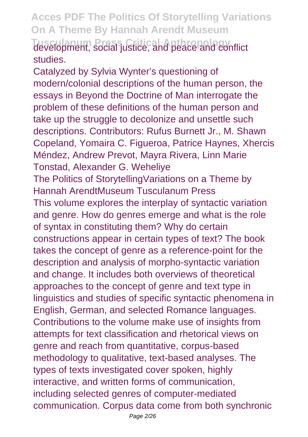**Acces PDF The Politics Of Storytelling Variations On A Theme By Hannah Arendt Museum Tusculanum Press Critical Anthropology** development, social justice, and peace and conflict studies.

Catalyzed by Sylvia Wynter's questioning of modern/colonial descriptions of the human person, the essays in Beyond the Doctrine of Man interrogate the problem of these definitions of the human person and take up the struggle to decolonize and unsettle such descriptions. Contributors: Rufus Burnett Jr., M. Shawn Copeland, Yomaira C. Figueroa, Patrice Haynes, Xhercis Méndez, Andrew Prevot, Mayra Rivera, Linn Marie Tonstad, Alexander G. Weheliye The Politics of StorytellingVariations on a Theme by Hannah ArendtMuseum Tusculanum Press This volume explores the interplay of syntactic variation and genre. How do genres emerge and what is the role of syntax in constituting them? Why do certain constructions appear in certain types of text? The book takes the concept of genre as a reference-point for the description and analysis of morpho-syntactic variation and change. It includes both overviews of theoretical approaches to the concept of genre and text type in linguistics and studies of specific syntactic phenomena in English, German, and selected Romance languages. Contributions to the volume make use of insights from attempts for text classification and rhetorical views on genre and reach from quantitative, corpus-based methodology to qualitative, text-based analyses. The types of texts investigated cover spoken, highly interactive, and written forms of communication, including selected genres of computer-mediated communication. Corpus data come from both synchronic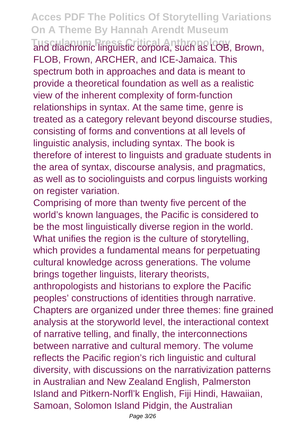**Tusculanum Press Critical Anthropology** and diachronic linguistic corpora, such as LOB, Brown, FLOB, Frown, ARCHER, and ICE-Jamaica. This spectrum both in approaches and data is meant to provide a theoretical foundation as well as a realistic view of the inherent complexity of form-function relationships in syntax. At the same time, genre is treated as a category relevant beyond discourse studies, consisting of forms and conventions at all levels of linguistic analysis, including syntax. The book is therefore of interest to linguists and graduate students in the area of syntax, discourse analysis, and pragmatics, as well as to sociolinguists and corpus linguists working on register variation.

Comprising of more than twenty five percent of the world's known languages, the Pacific is considered to be the most linguistically diverse region in the world. What unifies the region is the culture of storytelling, which provides a fundamental means for perpetuating cultural knowledge across generations. The volume brings together linguists, literary theorists, anthropologists and historians to explore the Pacific peoples' constructions of identities through narrative. Chapters are organized under three themes: fine grained analysis at the storyworld level, the interactional context of narrative telling, and finally, the interconnections between narrative and cultural memory. The volume reflects the Pacific region's rich linguistic and cultural diversity, with discussions on the narrativization patterns in Australian and New Zealand English, Palmerston Island and Pitkern-Norfl'k English, Fiji Hindi, Hawaiian, Samoan, Solomon Island Pidgin, the Australian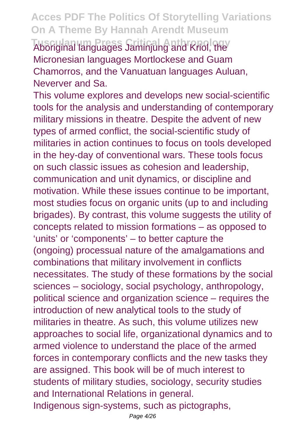**Tusculanum Press Critical Anthropology** Aboriginal languages Jaminjung and Kriol, the Micronesian languages Mortlockese and Guam Chamorros, and the Vanuatuan languages Auluan, Neverver and Sa.

This volume explores and develops new social-scientific tools for the analysis and understanding of contemporary military missions in theatre. Despite the advent of new types of armed conflict, the social-scientific study of militaries in action continues to focus on tools developed in the hey-day of conventional wars. These tools focus on such classic issues as cohesion and leadership, communication and unit dynamics, or discipline and motivation. While these issues continue to be important, most studies focus on organic units (up to and including brigades). By contrast, this volume suggests the utility of concepts related to mission formations – as opposed to 'units' or 'components' – to better capture the (ongoing) processual nature of the amalgamations and combinations that military involvement in conflicts necessitates. The study of these formations by the social sciences – sociology, social psychology, anthropology, political science and organization science – requires the introduction of new analytical tools to the study of militaries in theatre. As such, this volume utilizes new approaches to social life, organizational dynamics and to armed violence to understand the place of the armed forces in contemporary conflicts and the new tasks they are assigned. This book will be of much interest to students of military studies, sociology, security studies and International Relations in general. Indigenous sign-systems, such as pictographs,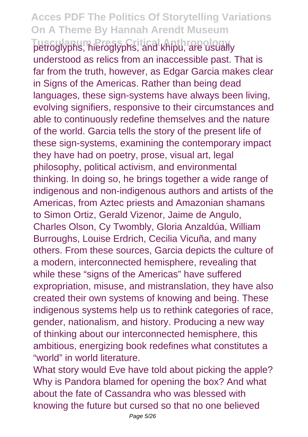**Tusculanum Press Critical Anthropology** petroglyphs, hieroglyphs, and khipu, are usually understood as relics from an inaccessible past. That is far from the truth, however, as Edgar Garcia makes clear in Signs of the Americas. Rather than being dead languages, these sign-systems have always been living, evolving signifiers, responsive to their circumstances and able to continuously redefine themselves and the nature of the world. Garcia tells the story of the present life of these sign-systems, examining the contemporary impact they have had on poetry, prose, visual art, legal philosophy, political activism, and environmental thinking. In doing so, he brings together a wide range of indigenous and non-indigenous authors and artists of the Americas, from Aztec priests and Amazonian shamans to Simon Ortiz, Gerald Vizenor, Jaime de Angulo, Charles Olson, Cy Twombly, Gloria Anzaldúa, William Burroughs, Louise Erdrich, Cecilia Vicuña, and many others. From these sources, Garcia depicts the culture of a modern, interconnected hemisphere, revealing that while these "signs of the Americas" have suffered expropriation, misuse, and mistranslation, they have also created their own systems of knowing and being. These indigenous systems help us to rethink categories of race, gender, nationalism, and history. Producing a new way of thinking about our interconnected hemisphere, this ambitious, energizing book redefines what constitutes a "world" in world literature.

What story would Eve have told about picking the apple? Why is Pandora blamed for opening the box? And what about the fate of Cassandra who was blessed with knowing the future but cursed so that no one believed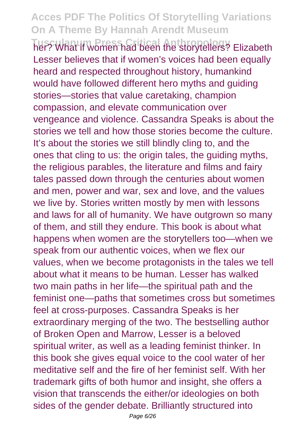**Tusculanum Press Critical Anthropology** her? What if women had been the storytellers? Elizabeth Lesser believes that if women's voices had been equally heard and respected throughout history, humankind would have followed different hero myths and guiding stories—stories that value caretaking, champion compassion, and elevate communication over vengeance and violence. Cassandra Speaks is about the stories we tell and how those stories become the culture. It's about the stories we still blindly cling to, and the ones that cling to us: the origin tales, the guiding myths, the religious parables, the literature and films and fairy tales passed down through the centuries about women and men, power and war, sex and love, and the values we live by. Stories written mostly by men with lessons and laws for all of humanity. We have outgrown so many of them, and still they endure. This book is about what happens when women are the storytellers too—when we speak from our authentic voices, when we flex our values, when we become protagonists in the tales we tell about what it means to be human. Lesser has walked two main paths in her life—the spiritual path and the feminist one—paths that sometimes cross but sometimes feel at cross-purposes. Cassandra Speaks is her extraordinary merging of the two. The bestselling author of Broken Open and Marrow, Lesser is a beloved spiritual writer, as well as a leading feminist thinker. In this book she gives equal voice to the cool water of her meditative self and the fire of her feminist self. With her trademark gifts of both humor and insight, she offers a vision that transcends the either/or ideologies on both sides of the gender debate. Brilliantly structured into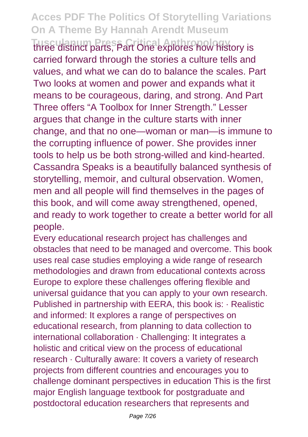**Tusculanum Press Critical Anthropology** three distinct parts, Part One explores how history is carried forward through the stories a culture tells and values, and what we can do to balance the scales. Part Two looks at women and power and expands what it means to be courageous, daring, and strong. And Part Three offers "A Toolbox for Inner Strength." Lesser argues that change in the culture starts with inner change, and that no one—woman or man—is immune to the corrupting influence of power. She provides inner tools to help us be both strong-willed and kind-hearted. Cassandra Speaks is a beautifully balanced synthesis of storytelling, memoir, and cultural observation. Women, men and all people will find themselves in the pages of this book, and will come away strengthened, opened, and ready to work together to create a better world for all people.

Every educational research project has challenges and obstacles that need to be managed and overcome. This book uses real case studies employing a wide range of research methodologies and drawn from educational contexts across Europe to explore these challenges offering flexible and universal guidance that you can apply to your own research. Published in partnership with EERA, this book is: · Realistic and informed: It explores a range of perspectives on educational research, from planning to data collection to international collaboration · Challenging: It integrates a holistic and critical view on the process of educational research · Culturally aware: It covers a variety of research projects from different countries and encourages you to challenge dominant perspectives in education This is the first major English language textbook for postgraduate and postdoctoral education researchers that represents and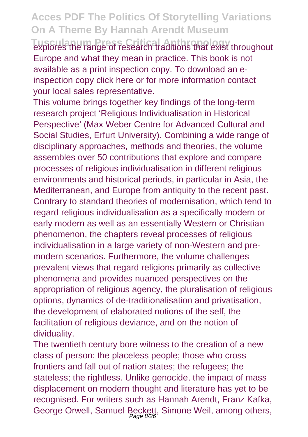explores the range of research traditions that exist throughout Europe and what they mean in practice. This book is not available as a print inspection copy. To download an einspection copy click here or for more information contact your local sales representative.

This volume brings together key findings of the long-term research project 'Religious Individualisation in Historical Perspective' (Max Weber Centre for Advanced Cultural and Social Studies, Erfurt University). Combining a wide range of disciplinary approaches, methods and theories, the volume assembles over 50 contributions that explore and compare processes of religious individualisation in different religious environments and historical periods, in particular in Asia, the Mediterranean, and Europe from antiquity to the recent past. Contrary to standard theories of modernisation, which tend to regard religious individualisation as a specifically modern or early modern as well as an essentially Western or Christian phenomenon, the chapters reveal processes of religious individualisation in a large variety of non-Western and premodern scenarios. Furthermore, the volume challenges prevalent views that regard religions primarily as collective phenomena and provides nuanced perspectives on the appropriation of religious agency, the pluralisation of religious options, dynamics of de-traditionalisation and privatisation, the development of elaborated notions of the self, the facilitation of religious deviance, and on the notion of dividuality.

The twentieth century bore witness to the creation of a new class of person: the placeless people; those who cross frontiers and fall out of nation states; the refugees; the stateless; the rightless. Unlike genocide, the impact of mass displacement on modern thought and literature has yet to be recognised. For writers such as Hannah Arendt, Franz Kafka, George Orwell, Samuel Beckett, Simone Weil, among others,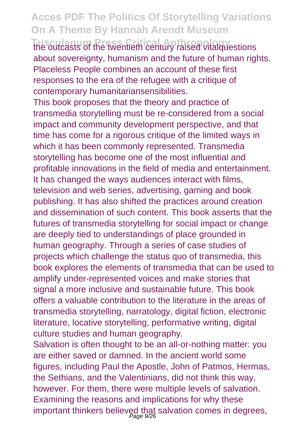**The outcasts of the twentieth century raised vitalquestions** about sovereignty, humanism and the future of human rights. Placeless People combines an account of these first responses to the era of the refugee with a critique of contemporary humanitariansensibilities.

This book proposes that the theory and practice of transmedia storytelling must be re-considered from a social impact and community development perspective, and that time has come for a rigorous critique of the limited ways in which it has been commonly represented. Transmedia storytelling has become one of the most influential and profitable innovations in the field of media and entertainment. It has changed the ways audiences interact with films, television and web series, advertising, gaming and book publishing. It has also shifted the practices around creation and dissemination of such content. This book asserts that the futures of transmedia storytelling for social impact or change are deeply tied to understandings of place grounded in human geography. Through a series of case studies of projects which challenge the status quo of transmedia, this book explores the elements of transmedia that can be used to amplify under-represented voices and make stories that signal a more inclusive and sustainable future. This book offers a valuable contribution to the literature in the areas of transmedia storytelling, narratology, digital fiction, electronic literature, locative storytelling, performative writing, digital culture studies and human geography.

Salvation is often thought to be an all-or-nothing matter: you are either saved or damned. In the ancient world some figures, including Paul the Apostle, John of Patmos, Hermas, the Sethians, and the Valentinians, did not think this way, however. For them, there were multiple levels of salvation. Examining the reasons and implications for why these important thinkers believed that salvation comes in degrees, Page 9/26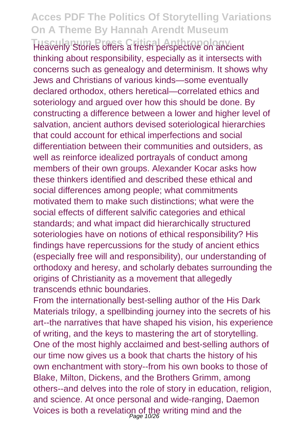**Tusculanum Press Critical Anthropology** Heavenly Stories offers a fresh perspective on ancient thinking about responsibility, especially as it intersects with concerns such as genealogy and determinism. It shows why Jews and Christians of various kinds—some eventually declared orthodox, others heretical—correlated ethics and soteriology and argued over how this should be done. By constructing a difference between a lower and higher level of salvation, ancient authors devised soteriological hierarchies that could account for ethical imperfections and social differentiation between their communities and outsiders, as well as reinforce idealized portrayals of conduct among members of their own groups. Alexander Kocar asks how these thinkers identified and described these ethical and social differences among people; what commitments motivated them to make such distinctions; what were the social effects of different salvific categories and ethical standards; and what impact did hierarchically structured soteriologies have on notions of ethical responsibility? His findings have repercussions for the study of ancient ethics (especially free will and responsibility), our understanding of orthodoxy and heresy, and scholarly debates surrounding the origins of Christianity as a movement that allegedly transcends ethnic boundaries.

From the internationally best-selling author of the His Dark Materials trilogy, a spellbinding journey into the secrets of his art--the narratives that have shaped his vision, his experience of writing, and the keys to mastering the art of storytelling. One of the most highly acclaimed and best-selling authors of our time now gives us a book that charts the history of his own enchantment with story--from his own books to those of Blake, Milton, Dickens, and the Brothers Grimm, among others--and delves into the role of story in education, religion, and science. At once personal and wide-ranging, Daemon Voices is both a revelation of the writing mind and the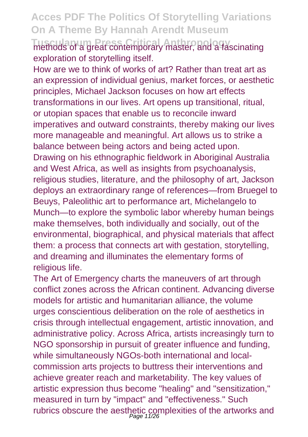**Tusculanum Press Critical Anthropology** methods of a great contemporary master, and a fascinating exploration of storytelling itself.

How are we to think of works of art? Rather than treat art as an expression of individual genius, market forces, or aesthetic principles, Michael Jackson focuses on how art effects transformations in our lives. Art opens up transitional, ritual, or utopian spaces that enable us to reconcile inward imperatives and outward constraints, thereby making our lives more manageable and meaningful. Art allows us to strike a balance between being actors and being acted upon. Drawing on his ethnographic fieldwork in Aboriginal Australia and West Africa, as well as insights from psychoanalysis, religious studies, literature, and the philosophy of art, Jackson deploys an extraordinary range of references—from Bruegel to Beuys, Paleolithic art to performance art, Michelangelo to Munch—to explore the symbolic labor whereby human beings make themselves, both individually and socially, out of the environmental, biographical, and physical materials that affect them: a process that connects art with gestation, storytelling, and dreaming and illuminates the elementary forms of religious life.

The Art of Emergency charts the maneuvers of art through conflict zones across the African continent. Advancing diverse models for artistic and humanitarian alliance, the volume urges conscientious deliberation on the role of aesthetics in crisis through intellectual engagement, artistic innovation, and administrative policy. Across Africa, artists increasingly turn to NGO sponsorship in pursuit of greater influence and funding, while simultaneously NGOs-both international and localcommission arts projects to buttress their interventions and achieve greater reach and marketability. The key values of artistic expression thus become "healing" and "sensitization," measured in turn by "impact" and "effectiveness." Such rubrics obscure the aesthetic complexities of the artworks and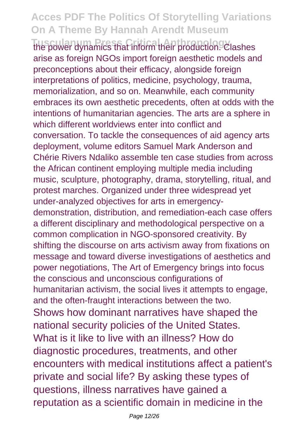**Tusculanum Press Critical Anthropology** the power dynamics that inform their production. Clashes arise as foreign NGOs import foreign aesthetic models and preconceptions about their efficacy, alongside foreign interpretations of politics, medicine, psychology, trauma, memorialization, and so on. Meanwhile, each community embraces its own aesthetic precedents, often at odds with the intentions of humanitarian agencies. The arts are a sphere in which different worldviews enter into conflict and conversation. To tackle the consequences of aid agency arts deployment, volume editors Samuel Mark Anderson and Chérie Rivers Ndaliko assemble ten case studies from across the African continent employing multiple media including music, sculpture, photography, drama, storytelling, ritual, and protest marches. Organized under three widespread yet under-analyzed objectives for arts in emergencydemonstration, distribution, and remediation-each case offers a different disciplinary and methodological perspective on a common complication in NGO-sponsored creativity. By shifting the discourse on arts activism away from fixations on message and toward diverse investigations of aesthetics and power negotiations, The Art of Emergency brings into focus the conscious and unconscious configurations of humanitarian activism, the social lives it attempts to engage, and the often-fraught interactions between the two. Shows how dominant narratives have shaped the national security policies of the United States. What is it like to live with an illness? How do diagnostic procedures, treatments, and other encounters with medical institutions affect a patient's private and social life? By asking these types of questions, illness narratives have gained a reputation as a scientific domain in medicine in the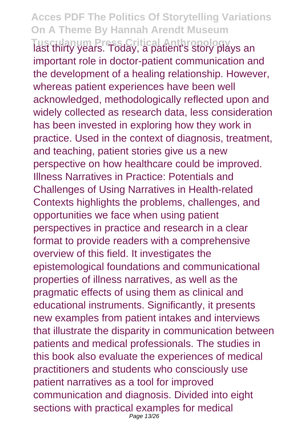#### **Acces PDF The Politics Of Storytelling Variations On A Theme By Hannah Arendt Museum Tusculanum Press Critical Anthropology** last thirty years. Today, a patient's story plays an important role in doctor-patient communication and the development of a healing relationship. However, whereas patient experiences have been well acknowledged, methodologically reflected upon and widely collected as research data, less consideration has been invested in exploring how they work in practice. Used in the context of diagnosis, treatment, and teaching, patient stories give us a new perspective on how healthcare could be improved. Illness Narratives in Practice: Potentials and Challenges of Using Narratives in Health-related Contexts highlights the problems, challenges, and opportunities we face when using patient perspectives in practice and research in a clear format to provide readers with a comprehensive overview of this field. It investigates the epistemological foundations and communicational properties of illness narratives, as well as the pragmatic effects of using them as clinical and educational instruments. Significantly, it presents new examples from patient intakes and interviews that illustrate the disparity in communication between patients and medical professionals. The studies in this book also evaluate the experiences of medical practitioners and students who consciously use patient narratives as a tool for improved communication and diagnosis. Divided into eight sections with practical examples for medical

Page 13/26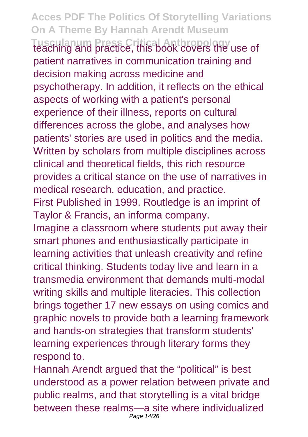**Acces PDF The Politics Of Storytelling Variations On A Theme By Hannah Arendt Museum Tusculanum Press Critical Anthropology** teaching and practice, this book covers the use of patient narratives in communication training and decision making across medicine and psychotherapy. In addition, it reflects on the ethical aspects of working with a patient's personal experience of their illness, reports on cultural differences across the globe, and analyses how patients' stories are used in politics and the media. Written by scholars from multiple disciplines across clinical and theoretical fields, this rich resource provides a critical stance on the use of narratives in medical research, education, and practice. First Published in 1999. Routledge is an imprint of Taylor & Francis, an informa company. Imagine a classroom where students put away their smart phones and enthusiastically participate in learning activities that unleash creativity and refine critical thinking. Students today live and learn in a transmedia environment that demands multi-modal writing skills and multiple literacies. This collection brings together 17 new essays on using comics and graphic novels to provide both a learning framework and hands-on strategies that transform students' learning experiences through literary forms they respond to.

Hannah Arendt argued that the "political" is best understood as a power relation between private and public realms, and that storytelling is a vital bridge between these realms—a site where individualized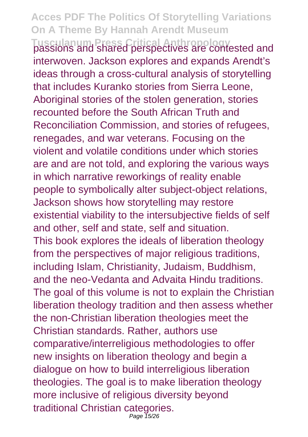**Tusculanum Press Critical Anthropology** passions and shared perspectives are contested and interwoven. Jackson explores and expands Arendt's ideas through a cross-cultural analysis of storytelling that includes Kuranko stories from Sierra Leone, Aboriginal stories of the stolen generation, stories recounted before the South African Truth and Reconciliation Commission, and stories of refugees, renegades, and war veterans. Focusing on the violent and volatile conditions under which stories are and are not told, and exploring the various ways in which narrative reworkings of reality enable people to symbolically alter subject-object relations, Jackson shows how storytelling may restore existential viability to the intersubjective fields of self and other, self and state, self and situation. This book explores the ideals of liberation theology from the perspectives of major religious traditions, including Islam, Christianity, Judaism, Buddhism, and the neo-Vedanta and Advaita Hindu traditions. The goal of this volume is not to explain the Christian liberation theology tradition and then assess whether the non-Christian liberation theologies meet the Christian standards. Rather, authors use comparative/interreligious methodologies to offer new insights on liberation theology and begin a dialogue on how to build interreligious liberation theologies. The goal is to make liberation theology more inclusive of religious diversity beyond traditional Christian categories. Page 15/26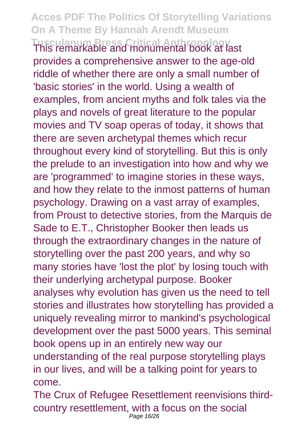**Tusculanum Press Critical Anthropology** This remarkable and monumental book at last provides a comprehensive answer to the age-old riddle of whether there are only a small number of 'basic stories' in the world. Using a wealth of examples, from ancient myths and folk tales via the plays and novels of great literature to the popular movies and TV soap operas of today, it shows that there are seven archetypal themes which recur throughout every kind of storytelling. But this is only the prelude to an investigation into how and why we are 'programmed' to imagine stories in these ways, and how they relate to the inmost patterns of human psychology. Drawing on a vast array of examples, from Proust to detective stories, from the Marquis de Sade to E.T., Christopher Booker then leads us through the extraordinary changes in the nature of storytelling over the past 200 years, and why so many stories have 'lost the plot' by losing touch with their underlying archetypal purpose. Booker analyses why evolution has given us the need to tell stories and illustrates how storytelling has provided a uniquely revealing mirror to mankind's psychological development over the past 5000 years. This seminal book opens up in an entirely new way our understanding of the real purpose storytelling plays in our lives, and will be a talking point for years to come.

The Crux of Refugee Resettlement reenvisions thirdcountry resettlement, with a focus on the social Page 16/26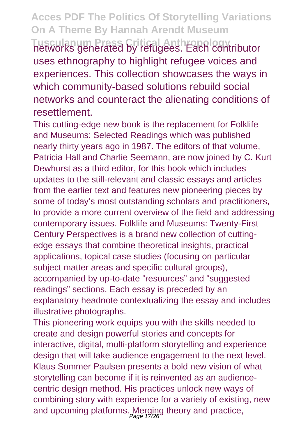**Tusculanum Press Critical Anthropology** networks generated by refugees. Each contributor uses ethnography to highlight refugee voices and experiences. This collection showcases the ways in which community-based solutions rebuild social networks and counteract the alienating conditions of resettlement.

This cutting-edge new book is the replacement for Folklife and Museums: Selected Readings which was published nearly thirty years ago in 1987. The editors of that volume, Patricia Hall and Charlie Seemann, are now joined by C. Kurt Dewhurst as a third editor, for this book which includes updates to the still-relevant and classic essays and articles from the earlier text and features new pioneering pieces by some of today's most outstanding scholars and practitioners, to provide a more current overview of the field and addressing contemporary issues. Folklife and Museums: Twenty-First Century Perspectives is a brand new collection of cuttingedge essays that combine theoretical insights, practical applications, topical case studies (focusing on particular subject matter areas and specific cultural groups), accompanied by up-to-date "resources" and "suggested readings" sections. Each essay is preceded by an explanatory headnote contextualizing the essay and includes illustrative photographs.

This pioneering work equips you with the skills needed to create and design powerful stories and concepts for interactive, digital, multi-platform storytelling and experience design that will take audience engagement to the next level. Klaus Sommer Paulsen presents a bold new vision of what storytelling can become if it is reinvented as an audiencecentric design method. His practices unlock new ways of combining story with experience for a variety of existing, new and upcoming platforms. Merging theory and practice,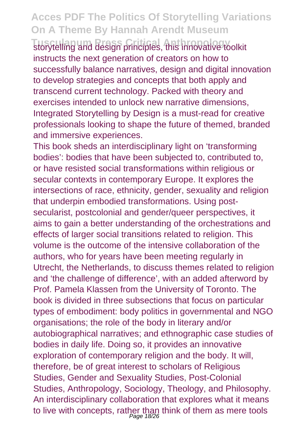**Tusculanum Press Critical Anthropology** storytelling and design principles, this innovative toolkit instructs the next generation of creators on how to successfully balance narratives, design and digital innovation to develop strategies and concepts that both apply and transcend current technology. Packed with theory and exercises intended to unlock new narrative dimensions, Integrated Storytelling by Design is a must-read for creative professionals looking to shape the future of themed, branded and immersive experiences.

This book sheds an interdisciplinary light on 'transforming bodies': bodies that have been subjected to, contributed to, or have resisted social transformations within religious or secular contexts in contemporary Europe. It explores the intersections of race, ethnicity, gender, sexuality and religion that underpin embodied transformations. Using postsecularist, postcolonial and gender/queer perspectives, it aims to gain a better understanding of the orchestrations and effects of larger social transitions related to religion. This volume is the outcome of the intensive collaboration of the authors, who for years have been meeting regularly in Utrecht, the Netherlands, to discuss themes related to religion and 'the challenge of difference', with an added afterword by Prof. Pamela Klassen from the University of Toronto. The book is divided in three subsections that focus on particular types of embodiment: body politics in governmental and NGO organisations; the role of the body in literary and/or autobiographical narratives; and ethnographic case studies of bodies in daily life. Doing so, it provides an innovative exploration of contemporary religion and the body. It will, therefore, be of great interest to scholars of Religious Studies, Gender and Sexuality Studies, Post-Colonial Studies, Anthropology, Sociology, Theology, and Philosophy. An interdisciplinary collaboration that explores what it means to live with concepts, rather than think of them as mere tools Page 18/26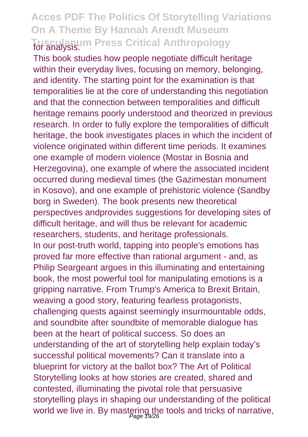#### **Acces PDF The Politics Of Storytelling Variations On A Theme By Hannah Arendt Museum Tusculanum Press Critical Anthropology** for analysis.

This book studies how people negotiate difficult heritage within their everyday lives, focusing on memory, belonging, and identity. The starting point for the examination is that temporalities lie at the core of understanding this negotiation and that the connection between temporalities and difficult heritage remains poorly understood and theorized in previous research. In order to fully explore the temporalities of difficult heritage, the book investigates places in which the incident of violence originated within different time periods. It examines one example of modern violence (Mostar in Bosnia and Herzegovina), one example of where the associated incident occurred during medieval times (the Gazimestan monument in Kosovo), and one example of prehistoric violence (Sandby borg in Sweden). The book presents new theoretical perspectives andprovides suggestions for developing sites of difficult heritage, and will thus be relevant for academic researchers, students, and heritage professionals. In our post-truth world, tapping into people's emotions has proved far more effective than rational argument - and, as Philip Seargeant argues in this illuminating and entertaining book, the most powerful tool for manipulating emotions is a gripping narrative. From Trump's America to Brexit Britain, weaving a good story, featuring fearless protagonists, challenging quests against seemingly insurmountable odds, and soundbite after soundbite of memorable dialogue has been at the heart of political success. So does an understanding of the art of storytelling help explain today's successful political movements? Can it translate into a blueprint for victory at the ballot box? The Art of Political Storytelling looks at how stories are created, shared and contested, illuminating the pivotal role that persuasive storytelling plays in shaping our understanding of the political world we live in. By mastering the tools and tricks of narrative,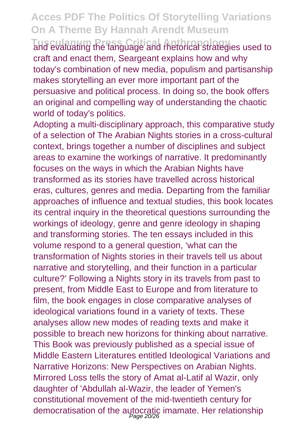**Tusculanum Press Critical Anthropology** and evaluating the language and rhetorical strategies used to craft and enact them, Seargeant explains how and why today's combination of new media, populism and partisanship makes storytelling an ever more important part of the persuasive and political process. In doing so, the book offers an original and compelling way of understanding the chaotic world of today's politics.

Adopting a multi-disciplinary approach, this comparative study of a selection of The Arabian Nights stories in a cross-cultural context, brings together a number of disciplines and subject areas to examine the workings of narrative. It predominantly focuses on the ways in which the Arabian Nights have transformed as its stories have travelled across historical eras, cultures, genres and media. Departing from the familiar approaches of influence and textual studies, this book locates its central inquiry in the theoretical questions surrounding the workings of ideology, genre and genre ideology in shaping and transforming stories. The ten essays included in this volume respond to a general question, 'what can the transformation of Nights stories in their travels tell us about narrative and storytelling, and their function in a particular culture?' Following a Nights story in its travels from past to present, from Middle East to Europe and from literature to film, the book engages in close comparative analyses of ideological variations found in a variety of texts. These analyses allow new modes of reading texts and make it possible to breach new horizons for thinking about narrative. This Book was previously published as a special issue of Middle Eastern Literatures entitled Ideological Variations and Narrative Horizons: New Perspectives on Arabian Nights. Mirrored Loss tells the story of Amat al-Latif al Wazir, only daughter of 'Abdullah al-Wazir, the leader of Yemen's constitutional movement of the mid-twentieth century for democratisation of the autocratic imamate. Her relationship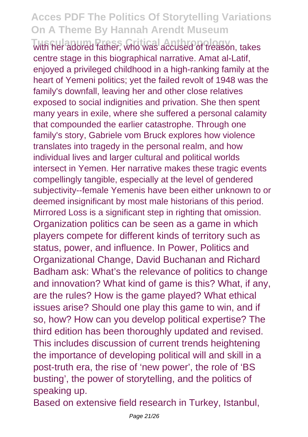with her adored father, who was accused of treason, takes centre stage in this biographical narrative. Amat al-Latif, enjoyed a privileged childhood in a high-ranking family at the heart of Yemeni politics; yet the failed revolt of 1948 was the family's downfall, leaving her and other close relatives exposed to social indignities and privation. She then spent many years in exile, where she suffered a personal calamity that compounded the earlier catastrophe. Through one family's story, Gabriele vom Bruck explores how violence translates into tragedy in the personal realm, and how individual lives and larger cultural and political worlds intersect in Yemen. Her narrative makes these tragic events compellingly tangible, especially at the level of gendered subjectivity--female Yemenis have been either unknown to or deemed insignificant by most male historians of this period. Mirrored Loss is a significant step in righting that omission. Organization politics can be seen as a game in which players compete for different kinds of territory such as status, power, and influence. In Power, Politics and Organizational Change, David Buchanan and Richard Badham ask: What's the relevance of politics to change and innovation? What kind of game is this? What, if any, are the rules? How is the game played? What ethical issues arise? Should one play this game to win, and if so, how? How can you develop political expertise? The third edition has been thoroughly updated and revised. This includes discussion of current trends heightening the importance of developing political will and skill in a post-truth era, the rise of 'new power', the role of 'BS busting', the power of storytelling, and the politics of speaking up.

Based on extensive field research in Turkey, Istanbul,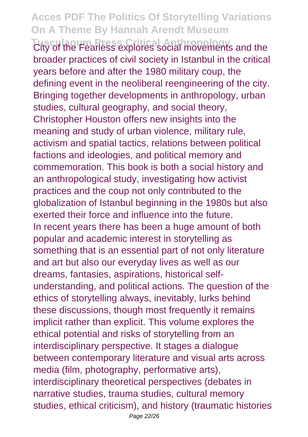**Tusculanum Press Critical Anthropology** City of the Fearless explores social movements and the broader practices of civil society in Istanbul in the critical years before and after the 1980 military coup, the defining event in the neoliberal reengineering of the city. Bringing together developments in anthropology, urban studies, cultural geography, and social theory, Christopher Houston offers new insights into the meaning and study of urban violence, military rule, activism and spatial tactics, relations between political factions and ideologies, and political memory and commemoration. This book is both a social history and an anthropological study, investigating how activist practices and the coup not only contributed to the globalization of Istanbul beginning in the 1980s but also exerted their force and influence into the future. In recent years there has been a huge amount of both popular and academic interest in storytelling as something that is an essential part of not only literature and art but also our everyday lives as well as our dreams, fantasies, aspirations, historical selfunderstanding, and political actions. The question of the ethics of storytelling always, inevitably, lurks behind these discussions, though most frequently it remains implicit rather than explicit. This volume explores the ethical potential and risks of storytelling from an interdisciplinary perspective. It stages a dialogue between contemporary literature and visual arts across media (film, photography, performative arts), interdisciplinary theoretical perspectives (debates in narrative studies, trauma studies, cultural memory studies, ethical criticism), and history (traumatic histories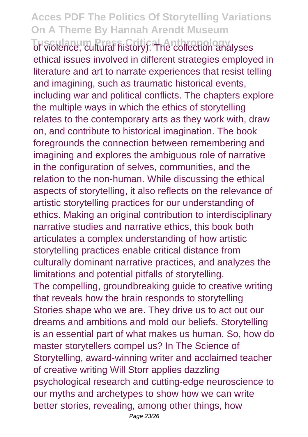**Tusculanum Press Critical Anthropology** of violence, cultural history). The collection analyses ethical issues involved in different strategies employed in literature and art to narrate experiences that resist telling and imagining, such as traumatic historical events, including war and political conflicts. The chapters explore the multiple ways in which the ethics of storytelling relates to the contemporary arts as they work with, draw on, and contribute to historical imagination. The book foregrounds the connection between remembering and imagining and explores the ambiguous role of narrative in the configuration of selves, communities, and the relation to the non-human. While discussing the ethical aspects of storytelling, it also reflects on the relevance of artistic storytelling practices for our understanding of ethics. Making an original contribution to interdisciplinary narrative studies and narrative ethics, this book both articulates a complex understanding of how artistic storytelling practices enable critical distance from culturally dominant narrative practices, and analyzes the limitations and potential pitfalls of storytelling. The compelling, groundbreaking guide to creative writing that reveals how the brain responds to storytelling Stories shape who we are. They drive us to act out our dreams and ambitions and mold our beliefs. Storytelling is an essential part of what makes us human. So, how do master storytellers compel us? In The Science of Storytelling, award-winning writer and acclaimed teacher of creative writing Will Storr applies dazzling psychological research and cutting-edge neuroscience to our myths and archetypes to show how we can write better stories, revealing, among other things, how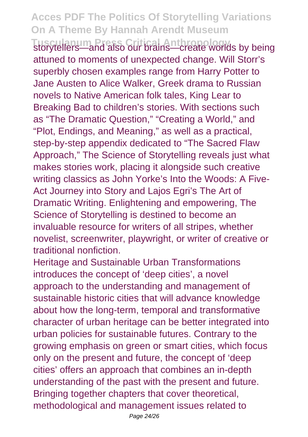**Tusculanum Press Critical Anthropology** storytellers—and also our brains—create worlds by being attuned to moments of unexpected change. Will Storr's superbly chosen examples range from Harry Potter to Jane Austen to Alice Walker, Greek drama to Russian novels to Native American folk tales, King Lear to Breaking Bad to children's stories. With sections such as "The Dramatic Question," "Creating a World," and "Plot, Endings, and Meaning," as well as a practical, step-by-step appendix dedicated to "The Sacred Flaw Approach," The Science of Storytelling reveals just what makes stories work, placing it alongside such creative writing classics as John Yorke's Into the Woods: A Five-Act Journey into Story and Lajos Egri's The Art of Dramatic Writing. Enlightening and empowering, The Science of Storytelling is destined to become an invaluable resource for writers of all stripes, whether novelist, screenwriter, playwright, or writer of creative or traditional nonfiction.

Heritage and Sustainable Urban Transformations introduces the concept of 'deep cities', a novel approach to the understanding and management of sustainable historic cities that will advance knowledge about how the long-term, temporal and transformative character of urban heritage can be better integrated into urban policies for sustainable futures. Contrary to the growing emphasis on green or smart cities, which focus only on the present and future, the concept of 'deep cities' offers an approach that combines an in-depth understanding of the past with the present and future. Bringing together chapters that cover theoretical, methodological and management issues related to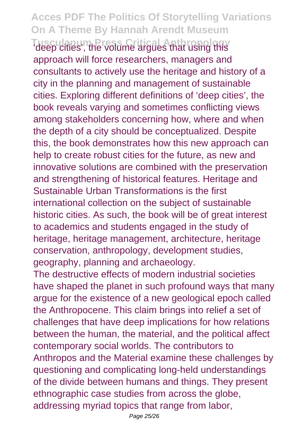**Tusculanum Press Critical Anthropology** 'deep cities', the volume argues that using this approach will force researchers, managers and consultants to actively use the heritage and history of a city in the planning and management of sustainable cities. Exploring different definitions of 'deep cities', the book reveals varying and sometimes conflicting views among stakeholders concerning how, where and when the depth of a city should be conceptualized. Despite this, the book demonstrates how this new approach can help to create robust cities for the future, as new and innovative solutions are combined with the preservation and strengthening of historical features. Heritage and Sustainable Urban Transformations is the first international collection on the subject of sustainable historic cities. As such, the book will be of great interest to academics and students engaged in the study of heritage, heritage management, architecture, heritage conservation, anthropology, development studies, geography, planning and archaeology.

The destructive effects of modern industrial societies have shaped the planet in such profound ways that many argue for the existence of a new geological epoch called the Anthropocene. This claim brings into relief a set of challenges that have deep implications for how relations between the human, the material, and the political affect contemporary social worlds. The contributors to Anthropos and the Material examine these challenges by questioning and complicating long-held understandings of the divide between humans and things. They present ethnographic case studies from across the globe, addressing myriad topics that range from labor,